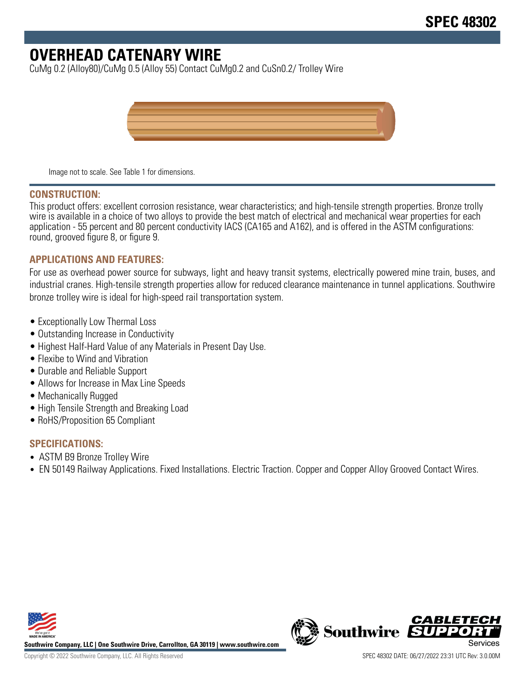# **OVERHEAD CATENARY WIRE**

CuMg 0.2 (Alloy80)/CuMg 0.5 (Alloy 55) Contact CuMg0.2 and CuSn0.2/ Trolley Wire



Image not to scale. See Table 1 for dimensions.

#### **CONSTRUCTION:**

This product offers: excellent corrosion resistance, wear characteristics; and high-tensile strength properties. Bronze trolly wire is available in a choice of two alloys to provide the best match of electrical and mechanical wear properties for each application - 55 percent and 80 percent conductivity IACS (CA165 and A162), and is offered in the ASTM configurations: round, grooved figure 8, or figure 9.

## **APPLICATIONS AND FEATURES:**

For use as overhead power source for subways, light and heavy transit systems, electrically powered mine train, buses, and industrial cranes. High-tensile strength properties allow for reduced clearance maintenance in tunnel applications. Southwire bronze trolley wire is ideal for high-speed rail transportation system.

- Exceptionally Low Thermal Loss
- Outstanding Increase in Conductivity
- Highest Half-Hard Value of any Materials in Present Day Use.
- Flexibe to Wind and Vibration
- Durable and Reliable Support
- Allows for Increase in Max Line Speeds
- Mechanically Rugged
- High Tensile Strength and Breaking Load
- RoHS/Proposition 65 Compliant

## **SPECIFICATIONS:**

- ASTM B9 Bronze Trolley Wire
- EN 50149 Railway Applications. Fixed Installations. Electric Traction. Copper and Copper Alloy Grooved Contact Wires.



**Southwire Company, LLC | One Southwire Drive, Carrollton, GA 30119 | www.southwire.com**